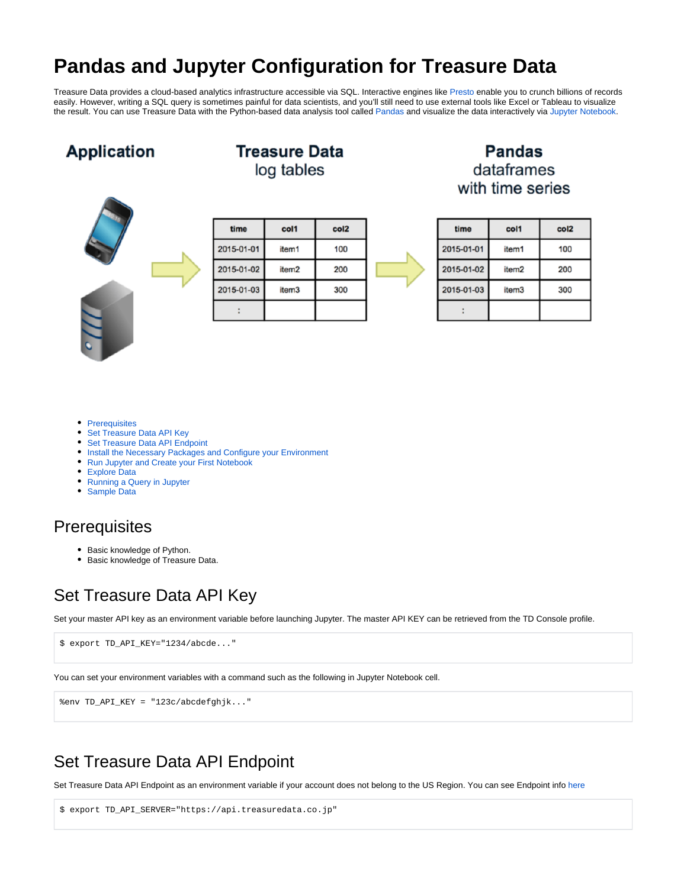# **Pandas and Jupyter Configuration for Treasure Data**

Treasure Data provides a cloud-based analytics infrastructure accessible via SQL. Interactive engines like [Presto](http://docs.treasuredata.com/display/PD/Using+Presto+Query+Engine) enable you to crunch billions of records easily. However, writing a SQL query is sometimes painful for data scientists, and you'll still need to use external tools like Excel or Tableau to visualize the result. You can use Treasure Data with the Python-based data analysis tool called [Pandas](http://pandas.pydata.org/) and visualize the data interactively via [Jupyter Notebook](https://jupyter.org/).

### **Application**



| Treasure Data |  |
|---------------|--|
| log tables    |  |

| time       | col1              | col <sub>2</sub> |  |
|------------|-------------------|------------------|--|
| 2015-01-01 | item1             | 100              |  |
| 2015-01-02 | item <sub>2</sub> | 200              |  |
| 2015-01-03 | item <sub>3</sub> | 300              |  |
|            |                   |                  |  |

#### **Pandas** dataframes with time series

| time       | col1              | col <sub>2</sub> |
|------------|-------------------|------------------|
| 2015-01-01 | item1             | 100              |
| 2015-01-02 | item <sub>2</sub> | 200              |
| 2015-01-03 | item3             | 300              |
|            |                   |                  |

- [Prerequisites](#page-0-0)
- [Set Treasure Data API Key](#page-0-1)
- [Set Treasure Data API Endpoint](#page-0-2)  $\bullet$
- [Install the Necessary Packages and Configure your Environment](#page-1-0)
- [Run Jupyter and Create your First Notebook](#page-1-1)
- [Explore Data](#page-2-0)
- [Running a Query in Jupyter](#page-2-1)
- $\bullet$ [Sample Data](#page-3-0)

#### <span id="page-0-0"></span>**Prerequisites**

- Basic knowledge of Python.
- **Basic knowledge of Treasure Data.**

### <span id="page-0-1"></span>Set Treasure Data API Key

Set your master API key as an environment variable before launching Jupyter. The master API KEY can be retrieved from the TD Console profile.

\$ export TD\_API\_KEY="1234/abcde..."

You can set your environment variables with a command such as the following in Jupyter Notebook cell.

%env TD\_API\_KEY = "123c/abcdefghjk..."

### <span id="page-0-2"></span>Set Treasure Data API Endpoint

Set Treasure Data API Endpoint as an environment variable if your account does not belong to the US Region. You can see Endpoint info [here](https://docs.treasuredata.com/display/PD/Sites+and+Endpoints)

```
$ export TD_API_SERVER="https://api.treasuredata.co.jp"
```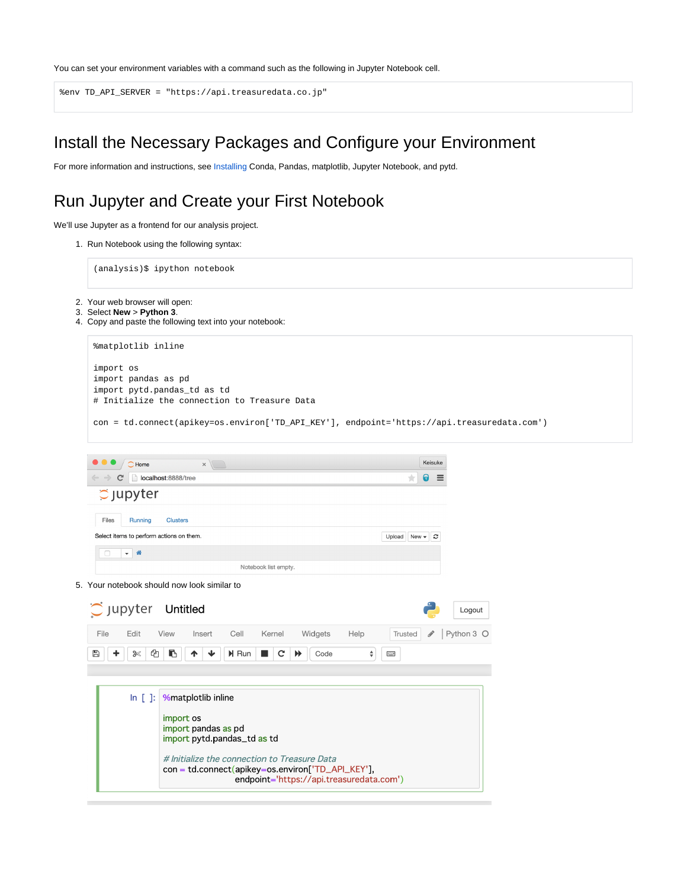You can set your environment variables with a command such as the following in Jupyter Notebook cell.

```
%env TD_API_SERVER = "https://api.treasuredata.co.jp"
```
### <span id="page-1-0"></span>Install the Necessary Packages and Configure your Environment

For more information and instructions, see [Installing](https://docs.treasuredata.com/display/PD/Installing+Python%2C+Pandas%2C+matplotlib%2C+Jupyter+Notebook%2C+pytd) Conda, Pandas, matplotlib, Jupyter Notebook, and pytd.

## <span id="page-1-1"></span>Run Jupyter and Create your First Notebook

We'll use Jupyter as a frontend for our analysis project.

1. Run Notebook using the following syntax:

(analysis)\$ ipython notebook

- 2. Your web browser will open:
- 3. Select **New** > **Python 3**.
- 4. Copy and paste the following text into your notebook:

|                               | %matplotlib inline  |                                                                                                                                               |                                 |         |            |  |  |
|-------------------------------|---------------------|-----------------------------------------------------------------------------------------------------------------------------------------------|---------------------------------|---------|------------|--|--|
| import os                     | import pandas as pd | import pytd.pandas_td as td<br># Initialize the connection to Treasure Data                                                                   |                                 |         |            |  |  |
|                               |                     | con = td.connect(apikey=os.environ['TD_API_KEY'], endpoint='https://api.treasuredata.com')                                                    |                                 |         |            |  |  |
|                               | $\bigcirc$ Home     | $\times$                                                                                                                                      |                                 | Keisuke |            |  |  |
| C                             |                     | localhost:8888/tree                                                                                                                           |                                 | ெ       |            |  |  |
|                               | $\circ$ Jupyter     |                                                                                                                                               |                                 |         |            |  |  |
| Files                         | Running             | <b>Clusters</b>                                                                                                                               |                                 |         |            |  |  |
|                               |                     | Select items to perform actions on them.                                                                                                      | Upload New $\blacktriangledown$ | c       |            |  |  |
| $\Box$                        | $ \hat{\mathbf{n}}$ |                                                                                                                                               |                                 |         |            |  |  |
|                               |                     | Notebook list empty.                                                                                                                          |                                 |         |            |  |  |
|                               |                     | 5. Your notebook should now look similar to                                                                                                   |                                 |         |            |  |  |
| $\tilde{\mathcal{C}}$ Jupyter |                     | Untitled                                                                                                                                      |                                 |         | Logout     |  |  |
| File                          | Edit                | Cell<br>View<br>Kernel<br>Widgets<br>Help<br>Insert                                                                                           | Trusted                         | P       | Python 3 O |  |  |
| $\mathbb{B}$                  | ቂ<br>$\approx$      | B<br>H Run<br>$\mathbf{C}$<br>$\blacktriangleright$<br>Code<br>÷<br>ተ                                                                         | <b>Final</b>                    |         |            |  |  |
|                               |                     |                                                                                                                                               |                                 |         |            |  |  |
|                               | $\ln$ [ ]:          | <b>%matplotlib inline</b>                                                                                                                     |                                 |         |            |  |  |
|                               |                     | import os<br>import pandas as pd<br>import pytd.pandas_td as td                                                                               |                                 |         |            |  |  |
|                               |                     |                                                                                                                                               |                                 |         |            |  |  |
|                               |                     | # Initialize the connection to Treasure Data<br>con = td.connect(apikey=os.environ['TD_API_KEY'],<br>endpoint='https://api.treasuredata.com') |                                 |         |            |  |  |
|                               |                     |                                                                                                                                               |                                 |         |            |  |  |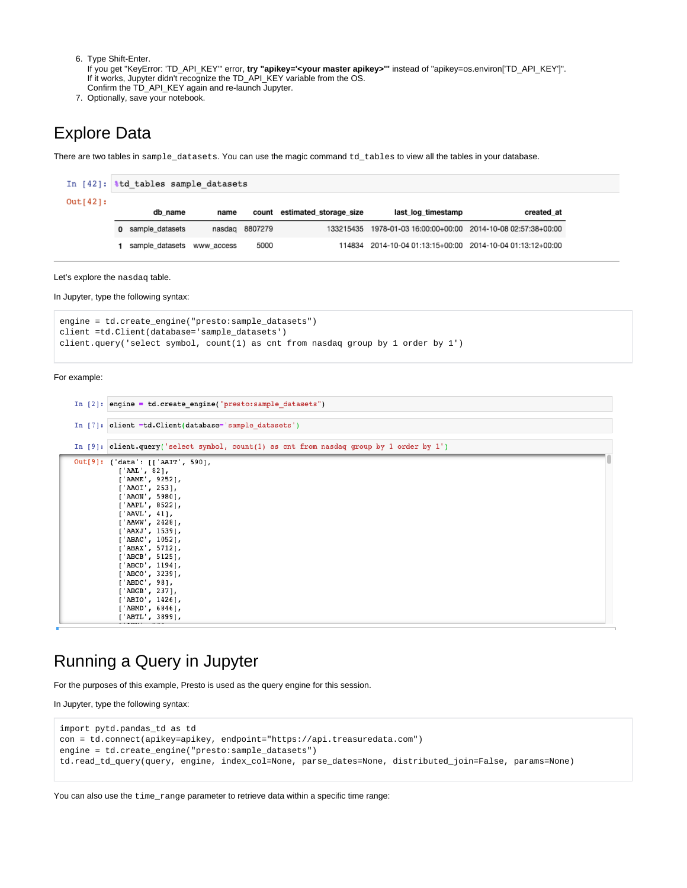- 6. Type Shift-Enter.
- If you get "KeyError: 'TD\_API\_KEY'" error, **try "apikey='<your master apikey>'"** instead of "apikey=os.environ['TD\_API\_KEY']". If it works, Jupyter didn't recognize the TD\_API\_KEY variable from the OS. Confirm the TD\_API\_KEY again and re-launch Jupyter.
- 7. Optionally, save your notebook.

### <span id="page-2-0"></span>Explore Data

There are two tables in sample\_datasets. You can use the magic command td\_tables to view all the tables in your database.

|          | In $[42]:$ atd tables sample datasets |                   |            |                |                              |                                                               |            |  |
|----------|---------------------------------------|-------------------|------------|----------------|------------------------------|---------------------------------------------------------------|------------|--|
| Out[42]: |                                       |                   |            |                |                              |                                                               |            |  |
|          |                                       | db name           | name       |                | count estimated storage size | last log timestamp                                            | created at |  |
|          |                                       | 0 sample datasets |            | nasdag 8807279 |                              | 133215435 1978-01-03 16:00:00+00:00 2014-10-08 02:57:38+00:00 |            |  |
|          |                                       | sample_datasets   | www access | 5000           |                              | 114834 2014-10-04 01:13:15+00:00 2014-10-04 01:13:12+00:00    |            |  |

Let's explore the nasdaq table.

In Jupyter, type the following syntax:

```
engine = td.create_engine("presto:sample_datasets")
client =td.Client(database='sample_datasets')
client.query('select symbol, count(1) as cnt from nasdaq group by 1 order by 1')
```
For example:

| In $[2]$ : engine = td.create engine ("presto:sample datasets")                                                                                                                                                                                                                                                                                                                                              |  |
|--------------------------------------------------------------------------------------------------------------------------------------------------------------------------------------------------------------------------------------------------------------------------------------------------------------------------------------------------------------------------------------------------------------|--|
| In [7]: client =td.Client(database='sample datasets')                                                                                                                                                                                                                                                                                                                                                        |  |
| In [9]: client.query('select symbol, count(1) as cnt from nasdaq group by 1 order by 1')                                                                                                                                                                                                                                                                                                                     |  |
| Out[9]: { 'data': [['AAIT', 590],<br>[ 'AAL', 82 ],<br>[ 'AAME ', 9252 ],<br>['AAOI', 253],<br>[ 'A A ON ', 5980 ],<br>[ 'AAPL', 8522 ],<br>['AAVL', 41],<br>['AAWW', 2428],<br>['AAXJ', 1539],<br>['ABAC', 1052],<br>['ABAX', 5712],<br>['ABCB', 5125],<br>['ABCD', 1194],<br>[ 'ABCO', 3239 ],<br>['ABDC', 98],<br>[ 'ABGB', 237],<br>['ABIO', 1426],<br>['ABMD', 6846],<br>['ABTL', 3899],<br>classed not |  |

#### <span id="page-2-1"></span>Running a Query in Jupyter

For the purposes of this example, Presto is used as the query engine for this session.

In Jupyter, type the following syntax:

```
import pytd.pandas_td as td
con = td.connect(apikey=apikey, endpoint="https://api.treasuredata.com")
engine = td.create_engine("presto:sample_datasets")
td.read_td_query(query, engine, index_col=None, parse_dates=None, distributed_join=False, params=None)
```
You can also use the  $time\_range$  parameter to retrieve data within a specific time range: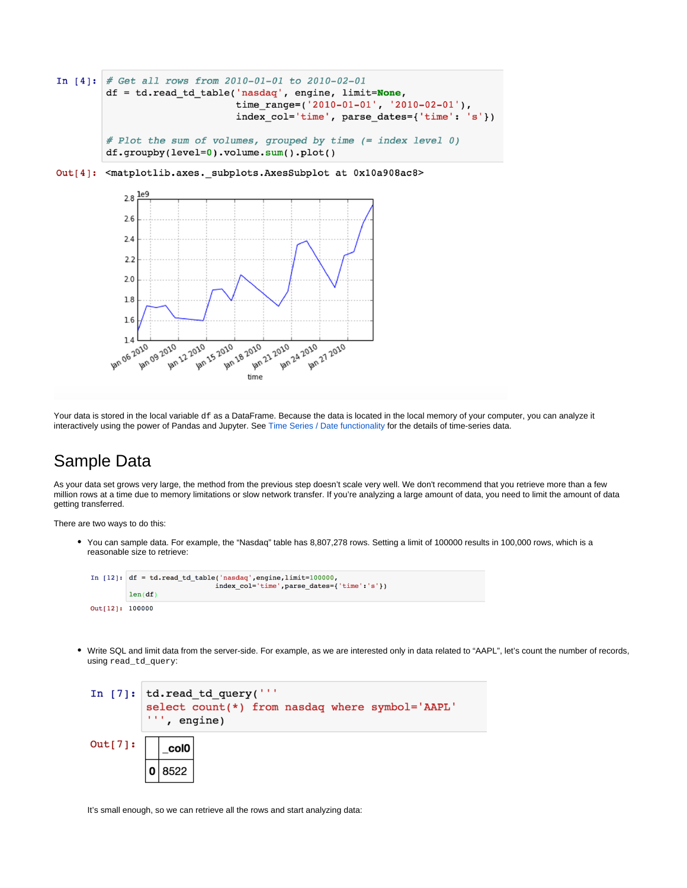```
In [4]: # Get all rows from 2010-01-01 to 2010-02-01
        df = td.read_td_table('nasdaq', engine, limit=None,
                              time_range=('2010-01-01', '2010-02-01'),
                              index_col='time', parse_dates={'time': 's'})
        # Plot the sum of volumes, grouped by time (= index level 0)
        df.groupby(level=0).volume.sum().plot()
```
Out[4]: <matplotlib.axes.\_subplots.AxesSubplot at 0x10a908ac8>



Your data is stored in the local variable df as a DataFrame. Because the data is located in the local memory of your computer, you can analyze it interactively using the power of Pandas and Jupyter. See [Time Series / Date functionality](http://pandas.pydata.org/pandas-docs/stable/timeseries.html) for the details of time-series data.

#### <span id="page-3-0"></span>Sample Data

As your data set grows very large, the method from the previous step doesn't scale very well. We don't recommend that you retrieve more than a few million rows at a time due to memory limitations or slow network transfer. If you're analyzing a large amount of data, you need to limit the amount of data getting transferred.

There are two ways to do this:

• You can sample data. For example, the "Nasdaq" table has 8,807,278 rows. Setting a limit of 100000 results in 100,000 rows, which is a reasonable size to retrieve:



Write SQL and limit data from the server-side. For example, as we are interested only in data related to "AAPL", let's count the number of records, using read\_td\_query:



It's small enough, so we can retrieve all the rows and start analyzing data: